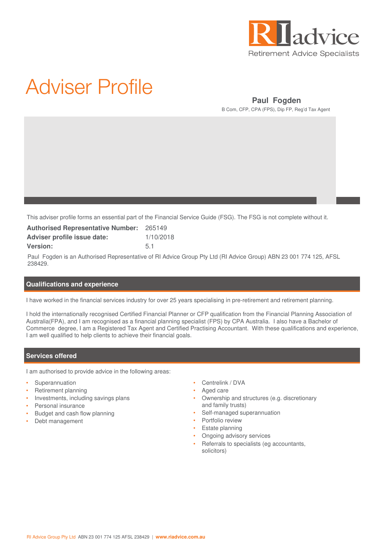

# Adviser Profile

# **Paul Fogden**

B Com, CFP, CPA (FPS), Dip FP, Reg'd Tax Agent

This adviser profile forms an essential part of the Financial Service Guide (FSG). The FSG is not complete without it.

| <b>Authorised Representative Number:</b> | 265149    |
|------------------------------------------|-----------|
| Adviser profile issue date:              | 1/10/2018 |
| <b>Version:</b>                          | 5.1       |

Paul Fogden is an Authorised Representative of RI Advice Group Pty Ltd (RI Advice Group) ABN 23 001 774 125, AFSL 238429.

## **Qualifications and experience**

I have worked in the financial services industry for over 25 years specialising in pre-retirement and retirement planning.

I hold the internationally recognised Certified Financial Planner or CFP qualification from the Financial Planning Association of Australia(FPA), and I am recognised as a financial planning specialist (FPS) by CPA Australia. I also have a Bachelor of Commerce degree, I am a Registered Tax Agent and Certified Practising Accountant. With these qualifications and experience, I am well qualified to help clients to achieve their financial goals.

## **Services offered**

I am authorised to provide advice in the following areas:

- **Superannuation**
- Retirement planning
- Investments, including savings plans
- Personal insurance
- Budget and cash flow planning
- Debt management
- Centrelink / DVA
- Aged care
- Ownership and structures (e.g. discretionary and family trusts)
- Self-managed superannuation
- Portfolio review
- **Estate planning**
- Ongoing advisory services
- Referrals to specialists (eg accountants, solicitors)